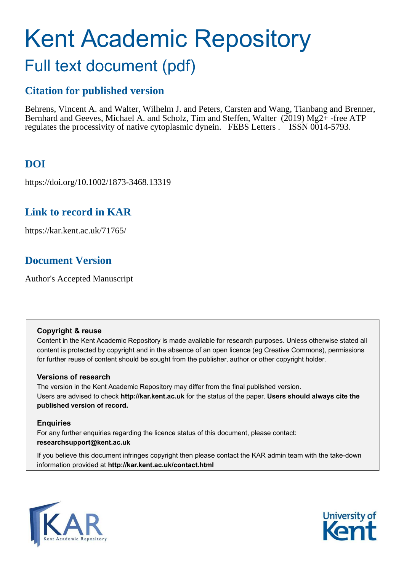# Kent Academic Repository Full text document (pdf)

# **Citation for published version**

Behrens, Vincent A. and Walter, Wilhelm J. and Peters, Carsten and Wang, Tianbang and Brenner, Bernhard and Geeves, Michael A. and Scholz, Tim and Steffen, Walter (2019) Mg2+-free ATP regulates the processivity of native cytoplasmic dynein. FEBS Letters . ISSN 0014-5793.

# **DOI**

https://doi.org/10.1002/1873-3468.13319

# **Link to record in KAR**

https://kar.kent.ac.uk/71765/

# **Document Version**

Author's Accepted Manuscript

#### **Copyright & reuse**

Content in the Kent Academic Repository is made available for research purposes. Unless otherwise stated all content is protected by copyright and in the absence of an open licence (eg Creative Commons), permissions for further reuse of content should be sought from the publisher, author or other copyright holder.

# **Versions of research**

The version in the Kent Academic Repository may differ from the final published version. Users are advised to check **http://kar.kent.ac.uk** for the status of the paper. **Users should always cite the published version of record.**

# **Enquiries**

For any further enquiries regarding the licence status of this document, please contact: **researchsupport@kent.ac.uk**

If you believe this document infringes copyright then please contact the KAR admin team with the take-down information provided at **http://kar.kent.ac.uk/contact.html**



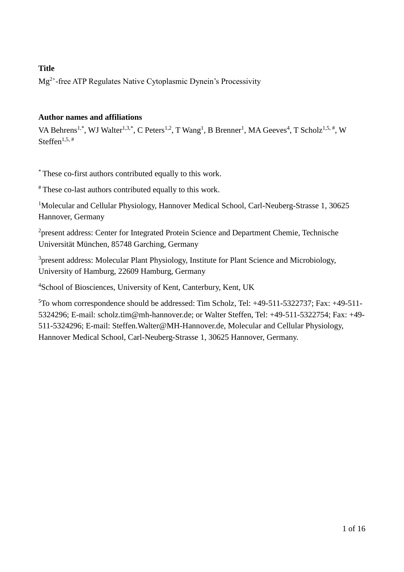# **Title**

Mg2+ -free ATP Regulates Native Cytoplasmic Dynein's Processivity

# **Author names and affiliations**

VA Behrens<sup>1,\*</sup>, WJ Walter<sup>1,3,\*</sup>, C Peters<sup>1,2</sup>, T Wang<sup>1</sup>, B Brenner<sup>1</sup>, MA Geeves<sup>4</sup>, T Scholz<sup>1,5,#</sup>, W Steffen<sup>1,5,#</sup>

\* These co-first authors contributed equally to this work.

# These co-last authors contributed equally to this work.

<sup>1</sup>Molecular and Cellular Physiology, Hannover Medical School, Carl-Neuberg-Strasse 1, 30625 Hannover, Germany

<sup>2</sup>present address: Center for Integrated Protein Science and Department Chemie, Technische Universität München, 85748 Garching, Germany

<sup>3</sup>present address: Molecular Plant Physiology, Institute for Plant Science and Microbiology, University of Hamburg, 22609 Hamburg, Germany

<sup>4</sup>School of Biosciences, University of Kent, Canterbury, Kent, UK

 $5$ To whom correspondence should be addressed: Tim Scholz, Tel:  $+49-511-5322737$ ; Fax:  $+49-511-$ 5324296; E-mail: scholz.tim@mh-hannover.de; or Walter Steffen, Tel: +49-511-5322754; Fax: +49- 511-5324296; E-mail: Steffen.Walter@MH-Hannover.de, Molecular and Cellular Physiology, Hannover Medical School, Carl-Neuberg-Strasse 1, 30625 Hannover, Germany.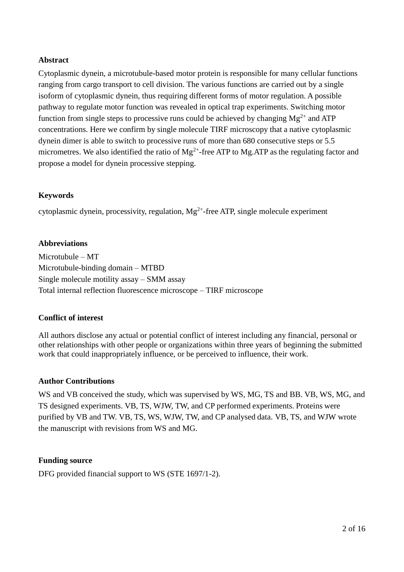# **Abstract**

Cytoplasmic dynein, a microtubule-based motor protein is responsible for many cellular functions ranging from cargo transport to cell division. The various functions are carried out by a single isoform of cytoplasmic dynein, thus requiring different forms of motor regulation. A possible pathway to regulate motor function was revealed in optical trap experiments. Switching motor function from single steps to processive runs could be achieved by changing  $Mg^{2+}$  and ATP concentrations. Here we confirm by single molecule TIRF microscopy that a native cytoplasmic dynein dimer is able to switch to processive runs of more than 680 consecutive steps or 5.5 micrometres. We also identified the ratio of  $Mg^{2+}$ -free ATP to Mg.ATP as the regulating factor and propose a model for dynein processive stepping.

# **Keywords**

cytoplasmic dynein, processivity, regulation,  $Mg^{2+}$ -free ATP, single molecule experiment

# **Abbreviations**

Microtubule – MT Microtubule-binding domain – MTBD Single molecule motility assay – SMM assay Total internal reflection fluorescence microscope – TIRF microscope

# **Conflict of interest**

All authors disclose any actual or potential conflict of interest including any financial, personal or other relationships with other people or organizations within three years of beginning the submitted work that could inappropriately influence, or be perceived to influence, their work.

#### **Author Contributions**

WS and VB conceived the study, which was supervised by WS, MG, TS and BB. VB, WS, MG, and TS designed experiments. VB, TS, WJW, TW, and CP performed experiments. Proteins were purified by VB and TW. VB, TS, WS, WJW, TW, and CP analysed data. VB, TS, and WJW wrote the manuscript with revisions from WS and MG.

# **Funding source**

DFG provided financial support to WS (STE 1697/1-2).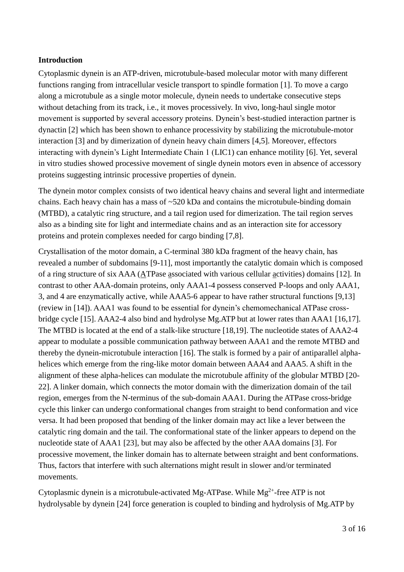## **Introduction**

Cytoplasmic dynein is an ATP-driven, microtubule-based molecular motor with many different functions ranging from intracellular vesicle transport to spindle formation [1]. To move a cargo along a microtubule as a single motor molecule, dynein needs to undertake consecutive steps without detaching from its track, i.e., it moves processively. In vivo, long-haul single motor movement is supported by several accessory proteins. Dynein's best-studied interaction partner is dynactin [2] which has been shown to enhance processivity by stabilizing the microtubule-motor interaction [3] and by dimerization of dynein heavy chain dimers [4,5]. Moreover, effectors interacting with dynein's Light Intermediate Chain 1 (LIC1) can enhance motility [6]. Yet, several in vitro studies showed processive movement of single dynein motors even in absence of accessory proteins suggesting intrinsic processive properties of dynein.

The dynein motor complex consists of two identical heavy chains and several light and intermediate chains. Each heavy chain has a mass of ~520 kDa and contains the microtubule-binding domain (MTBD), a catalytic ring structure, and a tail region used for dimerization. The tail region serves also as a binding site for light and intermediate chains and as an interaction site for accessory proteins and protein complexes needed for cargo binding [7,8].

Crystallisation of the motor domain, a C-terminal 380 kDa fragment of the heavy chain, has revealed a number of subdomains [9-11], most importantly the catalytic domain which is composed of a ring structure of six AAA (ATPase associated with various cellular activities) domains [12]. In contrast to other AAA-domain proteins, only AAA1-4 possess conserved P-loops and only AAA1, 3, and 4 are enzymatically active, while AAA5-6 appear to have rather structural functions [9,13] (review in [14]). AAA1 was found to be essential for dynein's chemomechanical ATPase crossbridge cycle [15]. AAA2-4 also bind and hydrolyse Mg.ATP but at lower rates than AAA1 [16,17]. The MTBD is located at the end of a stalk-like structure [18,19]. The nucleotide states of AAA2-4 appear to modulate a possible communication pathway between AAA1 and the remote MTBD and thereby the dynein-microtubule interaction [16]. The stalk is formed by a pair of antiparallel alphahelices which emerge from the ring-like motor domain between AAA4 and AAA5. A shift in the alignment of these alpha-helices can modulate the microtubule affinity of the globular MTBD [20- 22]. A linker domain, which connects the motor domain with the dimerization domain of the tail region, emerges from the N-terminus of the sub-domain AAA1. During the ATPase cross-bridge cycle this linker can undergo conformational changes from straight to bend conformation and vice versa. It had been proposed that bending of the linker domain may act like a lever between the catalytic ring domain and the tail. The conformational state of the linker appears to depend on the nucleotide state of AAA1 [23], but may also be affected by the other AAA domains [3]. For processive movement, the linker domain has to alternate between straight and bent conformations. Thus, factors that interfere with such alternations might result in slower and/or terminated movements.

Cytoplasmic dynein is a microtubule-activated Mg-ATPase. While  $Mg^{2+}$ -free ATP is not hydrolysable by dynein [24] force generation is coupled to binding and hydrolysis of Mg.ATP by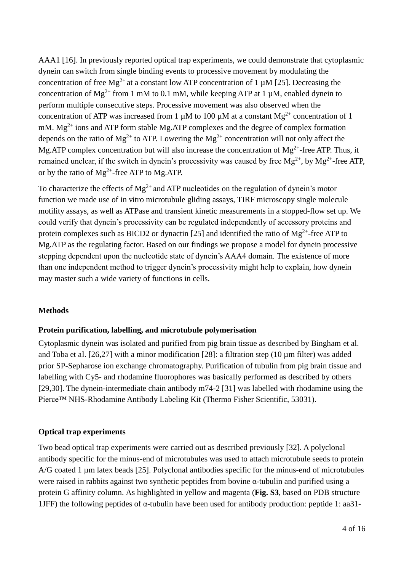AAA1 [16]. In previously reported optical trap experiments, we could demonstrate that cytoplasmic dynein can switch from single binding events to processive movement by modulating the concentration of free Mg<sup>2+</sup> at a constant low ATP concentration of 1  $\mu$ M [25]. Decreasing the concentration of  $Mg^{2+}$  from 1 mM to 0.1 mM, while keeping ATP at 1 µM, enabled dynein to perform multiple consecutive steps. Processive movement was also observed when the concentration of ATP was increased from 1  $\mu$ M to 100  $\mu$ M at a constant Mg<sup>2+</sup> concentration of 1 mM.  $Mg^{2+}$  ions and ATP form stable Mg.ATP complexes and the degree of complex formation depends on the ratio of  $Mg^{2+}$  to ATP. Lowering the  $Mg^{2+}$  concentration will not only affect the Mg.ATP complex concentration but will also increase the concentration of  $Mg^{2+}$ -free ATP. Thus, it remained unclear, if the switch in dynein's processivity was caused by free  $Mg^{2+}$ , by  $Mg^{2+}$ -free ATP, or by the ratio of  $Mg^{2+}$ -free ATP to Mg.ATP.

To characterize the effects of  $Mg^{2+}$  and ATP nucleotides on the regulation of dynein's motor function we made use of in vitro microtubule gliding assays, TIRF microscopy single molecule motility assays, as well as ATPase and transient kinetic measurements in a stopped-flow set up. We could verify that dynein's processivity can be regulated independently of accessory proteins and protein complexes such as BICD2 or dynactin [25] and identified the ratio of  $Mg^{2+}$ -free ATP to Mg.ATP as the regulating factor. Based on our findings we propose a model for dynein processive stepping dependent upon the nucleotide state of dynein's AAA4 domain. The existence of more than one independent method to trigger dynein's processivity might help to explain, how dynein may master such a wide variety of functions in cells.

# **Methods**

#### **Protein purification, labelling, and microtubule polymerisation**

Cytoplasmic dynein was isolated and purified from pig brain tissue as described by Bingham et al. and Toba et al. [26,27] with a minor modification [28]: a filtration step (10 µm filter) was added prior SP-Sepharose ion exchange chromatography. Purification of tubulin from pig brain tissue and labelling with Cy5- and rhodamine fluorophores was basically performed as described by others [29,30]. The dynein-intermediate chain antibody m74-2 [31] was labelled with rhodamine using the Pierce™ NHS-Rhodamine Antibody Labeling Kit (Thermo Fisher Scientific, 53031).

#### **Optical trap experiments**

Two bead optical trap experiments were carried out as described previously [32]. A polyclonal antibody specific for the minus-end of microtubules was used to attach microtubule seeds to protein A/G coated 1 µm latex beads [25]. Polyclonal antibodies specific for the minus-end of microtubules were raised in rabbits against two synthetic peptides from bovine  $\alpha$ -tubulin and purified using a protein G affinity column. As highlighted in yellow and magenta (**Fig. S3**, based on PDB structure 1JFF) the following peptides of  $\alpha$ -tubulin have been used for antibody production: peptide 1: aa31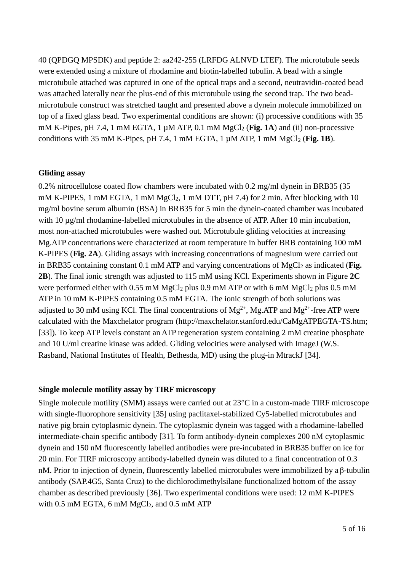40 (QPDGQ MPSDK) and peptide 2: aa242-255 (LRFDG ALNVD LTEF). The microtubule seeds were extended using a mixture of rhodamine and biotin-labelled tubulin. A bead with a single microtubule attached was captured in one of the optical traps and a second, neutravidin-coated bead was attached laterally near the plus-end of this microtubule using the second trap. The two beadmicrotubule construct was stretched taught and presented above a dynein molecule immobilized on top of a fixed glass bead. Two experimental conditions are shown: (i) processive conditions with 35 mM K-Pipes, pH 7.4, 1 mM EGTA, 1  $\mu$ M ATP, 0.1 mM MgCl<sub>2</sub> (**Fig. 1A**) and (ii) non-processive conditions with 35 mM K-Pipes, pH 7.4, 1 mM EGTA, 1  $\mu$ M ATP, 1 mM MgCl<sub>2</sub> (**Fig. 1B**).

#### **Gliding assay**

0.2% nitrocellulose coated flow chambers were incubated with 0.2 mg/ml dynein in BRB35 (35 mM K-PIPES, 1 mM EGTA, 1 mM  $MgCl<sub>2</sub>$ , 1 mM DTT, pH 7.4) for 2 min. After blocking with 10 mg/ml bovine serum albumin (BSA) in BRB35 for 5 min the dynein-coated chamber was incubated with 10  $\mu$ g/ml rhodamine-labelled microtubules in the absence of ATP. After 10 min incubation, most non-attached microtubules were washed out. Microtubule gliding velocities at increasing Mg.ATP concentrations were characterized at room temperature in buffer BRB containing 100 mM K-PIPES (**Fig. 2A**). Gliding assays with increasing concentrations of magnesium were carried out in BRB35 containing constant 0.1 mM ATP and varying concentrations of MgCl<sub>2</sub> as indicated (**Fig. 2B**). The final ionic strength was adjusted to 115 mM using KCl. Experiments shown in Figure **2C** were performed either with 0.55 mM MgCl<sub>2</sub> plus 0.9 mM ATP or with 6 mM MgCl<sub>2</sub> plus 0.5 mM ATP in 10 mM K-PIPES containing 0.5 mM EGTA. The ionic strength of both solutions was adjusted to 30 mM using KCl. The final concentrations of  $Mg^{2+}$ , Mg.ATP and  $Mg^{2+}$ -free ATP were calculated with the Maxchelator program (http://maxchelator.stanford.edu/CaMgATPEGTA-TS.htm; [33]). To keep ATP levels constant an ATP regeneration system containing 2 mM creatine phosphate and 10 U/ml creatine kinase was added. Gliding velocities were analysed with ImageJ (W.S. Rasband, National Institutes of Health, Bethesda, MD) using the plug-in MtrackJ [34].

#### **Single molecule motility assay by TIRF microscopy**

Single molecule motility (SMM) assays were carried out at 23°C in a custom-made TIRF microscope with single-fluorophore sensitivity [35] using paclitaxel-stabilized Cy5-labelled microtubules and native pig brain cytoplasmic dynein. The cytoplasmic dynein was tagged with a rhodamine-labelled intermediate-chain specific antibody [31]. To form antibody-dynein complexes 200 nM cytoplasmic dynein and 150 nM fluorescently labelled antibodies were pre-incubated in BRB35 buffer on ice for 20 min. For TIRF microscopy antibody-labelled dynein was diluted to a final concentration of 0.3 nM. Prior to injection of dynein, fluorescently labelled microtubules were immobilized by a  $\beta$ -tubulin antibody (SAP.4G5, Santa Cruz) to the dichlorodimethylsilane functionalized bottom of the assay chamber as described previously [36]. Two experimental conditions were used: 12 mM K-PIPES with  $0.5$  mM EGTA, 6 mM  $MgCl<sub>2</sub>$ , and  $0.5$  mM ATP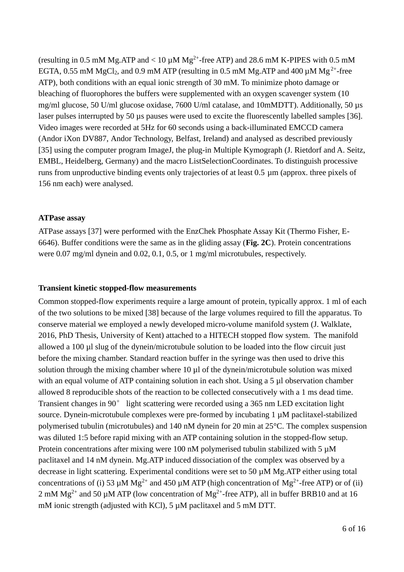(resulting in 0.5 mM Mg.ATP and  $< 10 \mu M$  Mg<sup>2+</sup>-free ATP) and 28.6 mM K-PIPES with 0.5 mM EGTA, 0.55 mM MgCl<sub>2</sub>, and 0.9 mM ATP (resulting in 0.5 mM Mg.ATP and 400  $\mu$ M Mg<sup>2+</sup>-free ATP), both conditions with an equal ionic strength of 30 mM. To minimize photo damage or bleaching of fluorophores the buffers were supplemented with an oxygen scavenger system (10 mg/ml glucose, 50 U/ml glucose oxidase, 7600 U/ml catalase, and 10mMDTT). Additionally, 50 µs laser pulses interrupted by 50 us pauses were used to excite the fluorescently labelled samples [36]. Video images were recorded at 5Hz for 60 seconds using a back-illuminated EMCCD camera (Andor iXon DV887, Andor Technology, Belfast, Ireland) and analysed as described previously [35] using the computer program ImageJ, the plug-in Multiple Kymograph (J. Rietdorf and A. Seitz, EMBL, Heidelberg, Germany) and the macro ListSelectionCoordinates. To distinguish processive runs from unproductive binding events only trajectories of at least 0.5 µm (approx. three pixels of 156 nm each) were analysed.

#### **ATPase assay**

ATPase assays [37] were performed with the EnzChek Phosphate Assay Kit (Thermo Fisher, E-6646). Buffer conditions were the same as in the gliding assay (**Fig. 2C**). Protein concentrations were 0.07 mg/ml dynein and 0.02, 0.1, 0.5, or 1 mg/ml microtubules, respectively.

#### **Transient kinetic stopped-flow measurements**

Common stopped-flow experiments require a large amount of protein, typically approx. 1 ml of each of the two solutions to be mixed [38] because of the large volumes required to fill the apparatus. To conserve material we employed a newly developed micro-volume manifold system (J. Walklate, 2016, PhD Thesis, University of Kent) attached to a HITECH stopped flow system. The manifold allowed a 100 µl slug of the dynein/microtubule solution to be loaded into the flow circuit just before the mixing chamber. Standard reaction buffer in the syringe was then used to drive this solution through the mixing chamber where  $10 \mu l$  of the dynein/microtubule solution was mixed with an equal volume of ATP containing solution in each shot. Using a 5 µl observation chamber allowed 8 reproducible shots of the reaction to be collected consecutively with a 1 ms dead time. Transient changes in 90° light scattering were recorded using a 365 nm LED excitation light source. Dynein-microtubule complexes were pre-formed by incubating 1 µM paclitaxel-stabilized polymerised tubulin (microtubules) and 140 nM dynein for 20 min at 25°C. The complex suspension was diluted 1:5 before rapid mixing with an ATP containing solution in the stopped-flow setup. Protein concentrations after mixing were 100 nM polymerised tubulin stabilized with 5  $\mu$ M paclitaxel and 14 nM dynein. Mg.ATP induced dissociation of the complex was observed by a decrease in light scattering. Experimental conditions were set to 50 µM Mg.ATP either using total concentrations of (i) 53  $\mu$ M Mg<sup>2+</sup> and 450  $\mu$ M ATP (high concentration of Mg<sup>2+</sup>-free ATP) or of (ii) 2 mM  $Mg^{2+}$  and 50 µM ATP (low concentration of  $Mg^{2+}$ -free ATP), all in buffer BRB10 and at 16 mM ionic strength (adjusted with KCl), 5  $\mu$ M paclitaxel and 5 mM DTT.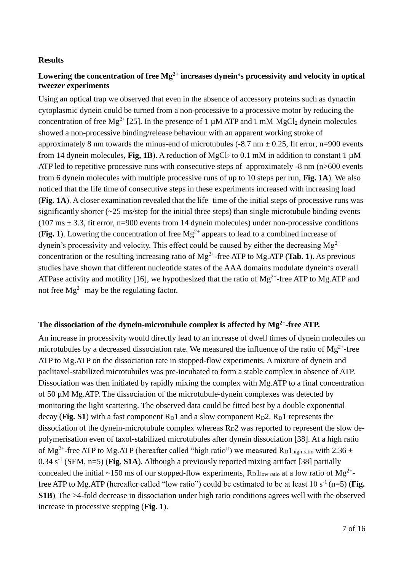# **Results**

# **Lowering the concentration of free Mg 2+ increases dynein's processivity and velocity in optical tweezer experiments**

Using an optical trap we observed that even in the absence of accessory proteins such as dynactin cytoplasmic dynein could be turned from a non-processive to a processive motor by reducing the concentration of free Mg<sup>2+</sup> [25]. In the presence of 1  $\mu$ M ATP and 1 mM MgCl<sub>2</sub> dynein molecules showed a non-processive binding/release behaviour with an apparent working stroke of approximately 8 nm towards the minus-end of microtubules (-8.7 nm  $\pm$  0.25, fit error, n=900 events from 14 dynein molecules, **Fig, 1B**). A reduction of MgCl<sub>2</sub> to 0.1 mM in addition to constant 1  $\mu$ M ATP led to repetitive processive runs with consecutive steps of approximately -8 nm (n>600 events from 6 dynein molecules with multiple processive runs of up to 10 steps per run, **Fig. 1A**). We also noticed that the life time of consecutive steps in these experiments increased with increasing load (**Fig. 1A**). A closer examination revealed that the life time of the initial steps of processive runs was significantly shorter  $(\sim 25 \text{ ms/step}$  for the initial three steps) than single microtubule binding events  $(107 \text{ ms} \pm 3.3, \text{ fit error}, \text{n=900}$  events from 14 dynein molecules) under non-processive conditions (**Fig. 1**). Lowering the concentration of free  $Mg^{2+}$  appears to lead to a combined increase of dynein's processivity and velocity. This effect could be caused by either the decreasing  $Mg^{2+}$ concentration or the resulting increasing ratio of  $Mg^{2+}$ -free ATP to Mg.ATP (**Tab. 1**). As previous studies have shown that different nucleotide states of the AAA domains modulate dynein's overall ATPase activity and motility [16], we hypothesized that the ratio of  $Mg^{2+}$ -free ATP to Mg.ATP and not free  $Mg^{2+}$  may be the regulating factor.

# **The dissociation of the dynein-microtubule complex is affected by Mg2+-free ATP.**

An increase in processivity would directly lead to an increase of dwell times of dynein molecules on microtubules by a decreased dissociation rate. We measured the influence of the ratio of  $Mg^{2+}$ -free ATP to Mg.ATP on the dissociation rate in stopped-flow experiments. A mixture of dynein and paclitaxel-stabilized microtubules was pre-incubated to form a stable complex in absence of ATP. Dissociation was then initiated by rapidly mixing the complex with Mg.ATP to a final concentration of 50 µM Mg.ATP. The dissociation of the microtubule-dynein complexes was detected by monitoring the light scattering. The observed data could be fitted best by a double exponential decay (**Fig. S1**) with a fast component  $R_D1$  and a slow component  $R_D2$ .  $R_D1$  represents the dissociation of the dynein-microtubule complex whereas  $R_D$ 2 was reported to represent the slow depolymerisation even of taxol-stabilized microtubules after dynein dissociation [38]. At a high ratio of Mg<sup>2+</sup>-free ATP to Mg.ATP (hereafter called "high ratio") we measured R<sub>D</sub>1<sub>high ratio</sub> with 2.36 ± 0.34 s<sup>-1</sup> (SEM, n=5) (**Fig. S1A**). Although a previously reported mixing artifact [38] partially concealed the initial ~150 ms of our stopped-flow experiments,  $R_D1_{low \text{ ratio}}$  at a low ratio of Mg<sup>2+</sup>free ATP to Mg.ATP (hereafter called "low ratio") could be estimated to be at least  $10 s<sup>-1</sup>$  (n=5) (**Fig. S1B**). The >4-fold decrease in dissociation under high ratio conditions agrees well with the observed increase in processive stepping (**Fig. 1**).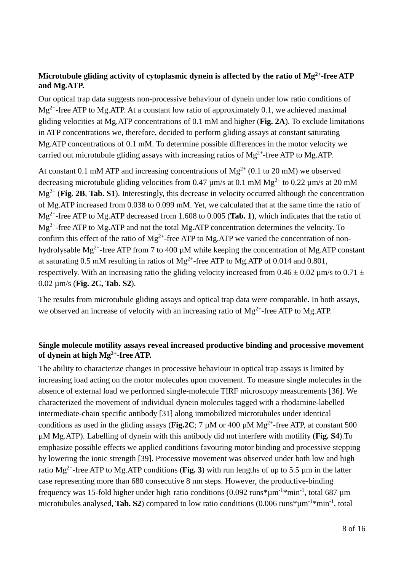# **Microtubule gliding activity of cytoplasmic dynein is affected by the ratio of Mg 2+-free ATP and Mg.ATP.**

Our optical trap data suggests non-processive behaviour of dynein under low ratio conditions of  $Mg^{2+}$ -free ATP to Mg.ATP. At a constant low ratio of approximately 0.1, we achieved maximal gliding velocities at Mg.ATP concentrations of 0.1 mM and higher (**Fig. 2A**). To exclude limitations in ATP concentrations we, therefore, decided to perform gliding assays at constant saturating Mg.ATP concentrations of 0.1 mM. To determine possible differences in the motor velocity we carried out microtubule gliding assays with increasing ratios of Mg<sup>2+</sup>-free ATP to Mg.ATP.

At constant 0.1 mM ATP and increasing concentrations of  $Mg^{2+}$  (0.1 to 20 mM) we observed decreasing microtubule gliding velocities from 0.47  $\mu$ m/s at 0.1 mM Mg<sup>2+</sup> to 0.22  $\mu$ m/s at 20 mM Mg2+ (**Fig. 2B**, **Tab. S1**). Interestingly, this decrease in velocity occurred although the concentration of Mg.ATP increased from 0.038 to 0.099 mM. Yet, we calculated that at the same time the ratio of Mg2+-free ATP to Mg.ATP decreased from 1.608 to 0.005 (**Tab. 1**), which indicates that the ratio of  $Mg^{2+}$ -free ATP to Mg.ATP and not the total Mg.ATP concentration determines the velocity. To confirm this effect of the ratio of  $Mg^{2+}$ -free ATP to Mg.ATP we varied the concentration of nonhydrolysable Mg<sup>2+</sup>-free ATP from 7 to 400  $\mu$ M while keeping the concentration of Mg.ATP constant at saturating 0.5 mM resulting in ratios of  $Mg^{2+}$ -free ATP to Mg.ATP of 0.014 and 0.801, respectively. With an increasing ratio the gliding velocity increased from  $0.46 \pm 0.02$  µm/s to  $0.71 \pm 0.02$ 0.02 µm/s (**Fig. 2C, Tab. S2**).

The results from microtubule gliding assays and optical trap data were comparable. In both assays, we observed an increase of velocity with an increasing ratio of  $Mg^{2+}$ -free ATP to Mg.ATP.

# **Single molecule motility assays reveal increased productive binding and processive movement of dynein at high Mg2+-free ATP.**

The ability to characterize changes in processive behaviour in optical trap assays is limited by increasing load acting on the motor molecules upon movement. To measure single molecules in the absence of external load we performed single-molecule TIRF microscopy measurements [36]. We characterized the movement of individual dynein molecules tagged with a rhodamine-labelled intermediate-chain specific antibody [31] along immobilized microtubules under identical conditions as used in the gliding assays (**Fig.2C**;  $7 \mu M$  or 400  $\mu M$  Mg<sup>2+</sup>-free ATP, at constant 500 µM Mg.ATP). Labelling of dynein with this antibody did not interfere with motility (**Fig. S4**).To emphasize possible effects we applied conditions favouring motor binding and processive stepping by lowering the ionic strength [39]. Processive movement was observed under both low and high ratio Mg<sup>2+</sup>-free ATP to Mg.ATP conditions (**Fig. 3**) with run lengths of up to 5.5  $\mu$ m in the latter case representing more than 680 consecutive 8 nm steps. However, the productive-binding frequency was 15-fold higher under high ratio conditions (0.092 runs\* $\mu$ m<sup>-1\*</sup>min<sup>-1</sup>, total 687  $\mu$ m microtubules analysed, **Tab. S2**) compared to low ratio conditions  $(0.006 \text{ runs}^* \mu \text{m}^{-1} \text{*min}^{-1})$ , total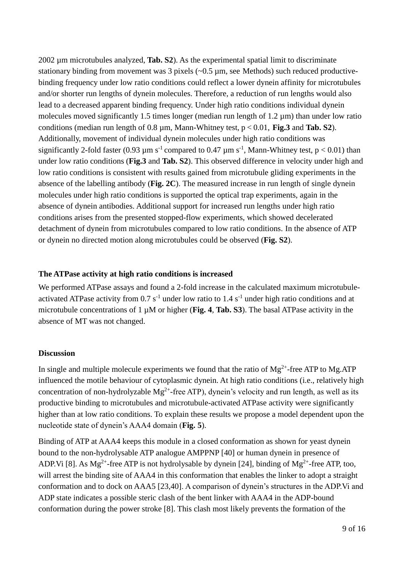2002 µm microtubules analyzed, **Tab. S2**). As the experimental spatial limit to discriminate stationary binding from movement was  $3$  pixels ( $\sim 0.5$  µm, see Methods) such reduced productivebinding frequency under low ratio conditions could reflect a lower dynein affinity for microtubules and/or shorter run lengths of dynein molecules. Therefore, a reduction of run lengths would also lead to a decreased apparent binding frequency. Under high ratio conditions individual dynein molecules moved significantly 1.5 times longer (median run length of 1.2 um) than under low ratio conditions (median run length of 0.8 µm, Mann-Whitney test, p < 0.01, **Fig.3** and **Tab. S2**). Additionally, movement of individual dynein molecules under high ratio conditions was significantly 2-fold faster (0.93  $\mu$ m s<sup>-1</sup> compared to 0.47  $\mu$ m s<sup>-1</sup>, Mann-Whitney test, p < 0.01) than under low ratio conditions (**Fig.3** and **Tab. S2**). This observed difference in velocity under high and low ratio conditions is consistent with results gained from microtubule gliding experiments in the absence of the labelling antibody (**Fig. 2C**). The measured increase in run length of single dynein molecules under high ratio conditions is supported the optical trap experiments, again in the absence of dynein antibodies. Additional support for increased run lengths under high ratio conditions arises from the presented stopped-flow experiments, which showed decelerated detachment of dynein from microtubules compared to low ratio conditions. In the absence of ATP or dynein no directed motion along microtubules could be observed (**Fig. S2**).

#### **The ATPase activity at high ratio conditions is increased**

We performed ATPase assays and found a 2-fold increase in the calculated maximum microtubuleactivated ATPase activity from  $0.7 s<sup>-1</sup>$  under low ratio to  $1.4 s<sup>-1</sup>$  under high ratio conditions and at microtubule concentrations of 1 µM or higher (**Fig. 4**, **Tab. S3**). The basal ATPase activity in the absence of MT was not changed.

# **Discussion**

In single and multiple molecule experiments we found that the ratio of  $Mg^{2+}$ -free ATP to Mg.ATP influenced the motile behaviour of cytoplasmic dynein. At high ratio conditions (i.e., relatively high concentration of non-hydrolyzable  $Mg^{2+}$ -free ATP), dynein's velocity and run length, as well as its productive binding to microtubules and microtubule-activated ATPase activity were significantly higher than at low ratio conditions. To explain these results we propose a model dependent upon the nucleotide state of dynein's AAA4 domain (**Fig. 5**).

Binding of ATP at AAA4 keeps this module in a closed conformation as shown for yeast dynein bound to the non-hydrolysable ATP analogue AMPPNP [40] or human dynein in presence of ADP.Vi [8]. As  $Mg^{2+}$ -free ATP is not hydrolysable by dynein [24], binding of  $Mg^{2+}$ -free ATP, too, will arrest the binding site of AAA4 in this conformation that enables the linker to adopt a straight conformation and to dock on AAA5 [23,40]. A comparison of dynein's structures in the ADP.Vi and ADP state indicates a possible steric clash of the bent linker with AAA4 in the ADP-bound conformation during the power stroke [8]. This clash most likely prevents the formation of the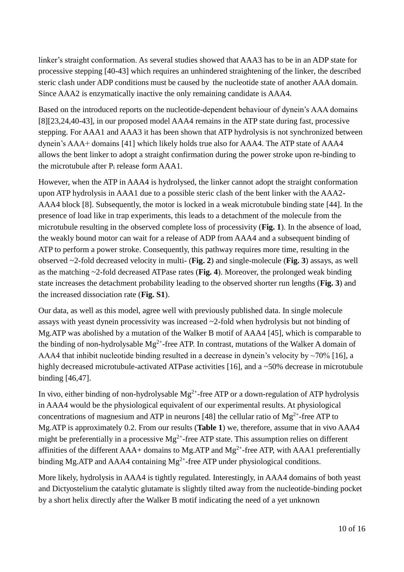linker's straight conformation. As several studies showed that AAA3 has to be in an ADP state for processive stepping [40-43] which requires an unhindered straightening of the linker, the described steric clash under ADP conditions must be caused by the nucleotide state of another AAA domain. Since AAA2 is enzymatically inactive the only remaining candidate is AAA4.

Based on the introduced reports on the nucleotide-dependent behaviour of dynein's AAA domains [8][23,24,40-43], in our proposed model AAA4 remains in the ATP state during fast, processive stepping. For AAA1 and AAA3 it has been shown that ATP hydrolysis is not synchronized between dynein's AAA+ domains [41] which likely holds true also for AAA4. The ATP state of AAA4 allows the bent linker to adopt a straight confirmation during the power stroke upon re-binding to the microtubule after  $P_i$  release form  $AAA1$ .

However, when the ATP in AAA4 is hydrolysed, the linker cannot adopt the straight conformation upon ATP hydrolysis in AAA1 due to a possible steric clash of the bent linker with the AAA2- AAA4 block [8]. Subsequently, the motor is locked in a weak microtubule binding state [44]. In the presence of load like in trap experiments, this leads to a detachment of the molecule from the microtubule resulting in the observed complete loss of processivity (**Fig. 1**). In the absence of load, the weakly bound motor can wait for a release of ADP from AAA4 and a subsequent binding of ATP to perform a power stroke. Consequently, this pathway requires more time, resulting in the observed ~2-fold decreased velocity in multi- (**Fig. 2**) and single-molecule (**Fig. 3**) assays, as well as the matching ~2-fold decreased ATPase rates (**Fig. 4**). Moreover, the prolonged weak binding state increases the detachment probability leading to the observed shorter run lengths (**Fig. 3**) and the increased dissociation rate (**Fig. S1**).

Our data, as well as this model, agree well with previously published data. In single molecule assays with yeast dynein processivity was increased ~2-fold when hydrolysis but not binding of Mg.ATP was abolished by a mutation of the Walker B motif of AAA4 [45], which is comparable to the binding of non-hydrolysable  $Mg^{2+}$ -free ATP. In contrast, mutations of the Walker A domain of AAA4 that inhibit nucleotide binding resulted in a decrease in dynein's velocity by  $\sim$ 70% [16], a highly decreased microtubule-activated ATPase activities [16], and a ~50% decrease in microtubule binding [46,47].

In vivo, either binding of non-hydrolysable  $Mg^{2+}$ -free ATP or a down-regulation of ATP hydrolysis in AAA4 would be the physiological equivalent of our experimental results. At physiological concentrations of magnesium and ATP in neurons [48] the cellular ratio of  $Mg^{2+}$ -free ATP to Mg.ATP is approximately 0.2. From our results (**Table 1**) we, therefore, assume that in vivo AAA4 might be preferentially in a processive  $Mg^{2+}$ -free ATP state. This assumption relies on different affinities of the different  $AA$ + domains to Mg.ATP and Mg<sup>2+</sup>-free ATP, with AAA1 preferentially binding Mg.ATP and AAA4 containing  $Mg^{2+}$ -free ATP under physiological conditions.

More likely, hydrolysis in AAA4 is tightly regulated. Interestingly, in AAA4 domains of both yeast and Dictyostelium the catalytic glutamate is slightly tilted away from the nucleotide-binding pocket by a short helix directly after the Walker B motif indicating the need of a yet unknown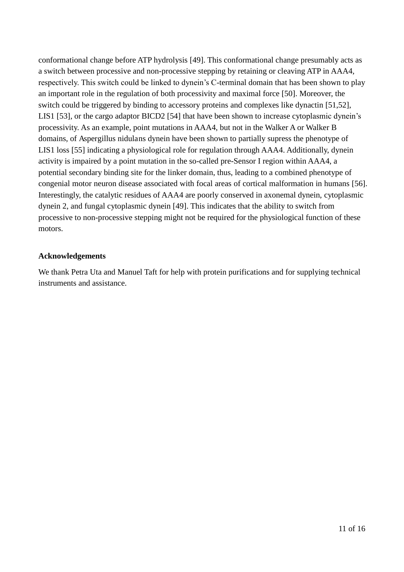conformational change before ATP hydrolysis [49]. This conformational change presumably acts as a switch between processive and non-processive stepping by retaining or cleaving ATP in AAA4, respectively. This switch could be linked to dynein's C-terminal domain that has been shown to play an important role in the regulation of both processivity and maximal force [50]. Moreover, the switch could be triggered by binding to accessory proteins and complexes like dynactin [51,52], LIS1 [53], or the cargo adaptor BICD2 [54] that have been shown to increase cytoplasmic dynein's processivity. As an example, point mutations in AAA4, but not in the Walker A or Walker B domains, of Aspergillus nidulans dynein have been shown to partially supress the phenotype of LIS1 loss [55] indicating a physiological role for regulation through AAA4. Additionally, dynein activity is impaired by a point mutation in the so-called pre-Sensor I region within AAA4, a potential secondary binding site for the linker domain, thus, leading to a combined phenotype of congenial motor neuron disease associated with focal areas of cortical malformation in humans [56]. Interestingly, the catalytic residues of AAA4 are poorly conserved in axonemal dynein, cytoplasmic dynein 2, and fungal cytoplasmic dynein [49]. This indicates that the ability to switch from processive to non-processive stepping might not be required for the physiological function of these motors.

# **Acknowledgements**

We thank Petra Uta and Manuel Taft for help with protein purifications and for supplying technical instruments and assistance.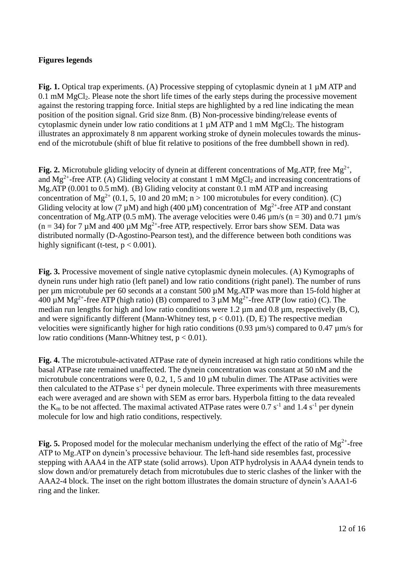# **Figures legends**

**Fig. 1.** Optical trap experiments. (A) Processive stepping of cytoplasmic dynein at 1 µM ATP and 0.1 mM MgCl2. Please note the short life times of the early steps during the processive movement against the restoring trapping force. Initial steps are highlighted by a red line indicating the mean position of the position signal. Grid size 8nm. (B) Non-processive binding/release events of cytoplasmic dynein under low ratio conditions at  $1 \mu MATP$  and  $1 \mu MMQC$ . The histogram illustrates an approximately 8 nm apparent working stroke of dynein molecules towards the minusend of the microtubule (shift of blue fit relative to positions of the free dumbbell shown in red).

Fig. 2. Microtubule gliding velocity of dynein at different concentrations of Mg.ATP, free  $Mg^{2+}$ , and  $Mg^{2+}$ -free ATP. (A) Gliding velocity at constant 1 mM  $MgCl<sub>2</sub>$  and increasing concentrations of Mg.ATP (0.001 to 0.5 mM). (B) Gliding velocity at constant 0.1 mM ATP and increasing concentration of Mg<sup>2+</sup> (0.1, 5, 10 and 20 mM; n > 100 microtubules for every condition). (C) Gliding velocity at low (7  $\mu$ M) and high (400  $\mu$ M) concentration of Mg<sup>2+</sup>-free ATP and constant concentration of Mg.ATP (0.5 mM). The average velocities were 0.46  $\mu$ m/s (n = 30) and 0.71  $\mu$ m/s  $(n = 34)$  for 7  $\mu$ M and 400  $\mu$ M Mg<sup>2+</sup>-free ATP, respectively. Error bars show SEM. Data was distributed normally (D-Agostino-Pearson test), and the difference between both conditions was highly significant (t-test,  $p < 0.001$ ).

**Fig. 3.** Processive movement of single native cytoplasmic dynein molecules. (A) Kymographs of dynein runs under high ratio (left panel) and low ratio conditions (right panel). The number of runs per µm microtubule per 60 seconds at a constant 500 µM Mg.ATP was more than 15-fold higher at 400  $\mu$ M Mg<sup>2+</sup>-free ATP (high ratio) (B) compared to 3  $\mu$ M Mg<sup>2+</sup>-free ATP (low ratio) (C). The median run lengths for high and low ratio conditions were 1.2  $\mu$ m and 0.8  $\mu$ m, respectively (B, C), and were significantly different (Mann-Whitney test,  $p < 0.01$ ). (D, E) The respective median velocities were significantly higher for high ratio conditions (0.93  $\mu$ m/s) compared to 0.47  $\mu$ m/s for low ratio conditions (Mann-Whitney test,  $p < 0.01$ ).

**Fig. 4.** The microtubule-activated ATPase rate of dynein increased at high ratio conditions while the basal ATPase rate remained unaffected. The dynein concentration was constant at 50 nM and the microtubule concentrations were 0, 0.2, 1, 5 and 10  $\mu$ M tubulin dimer. The ATPase activities were then calculated to the ATPase  $s^{-1}$  per dynein molecule. Three experiments with three measurements each were averaged and are shown with SEM as error bars. Hyperbola fitting to the data revealed the  $K_m$  to be not affected. The maximal activated ATPase rates were 0.7 s<sup>-1</sup> and 1.4 s<sup>-1</sup> per dynein molecule for low and high ratio conditions, respectively.

**Fig. 5.** Proposed model for the molecular mechanism underlying the effect of the ratio of  $Mg^{2+}$ -free ATP to Mg.ATP on dynein's processive behaviour. The left-hand side resembles fast, processive stepping with AAA4 in the ATP state (solid arrows). Upon ATP hydrolysis in AAA4 dynein tends to slow down and/or prematurely detach from microtubules due to steric clashes of the linker with the AAA2-4 block. The inset on the right bottom illustrates the domain structure of dynein's AAA1-6 ring and the linker.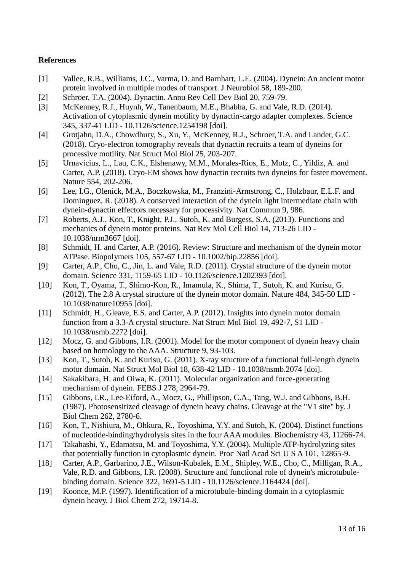# **References**

- [1] Vallee, R.B., Williams, J.C., Varma, D. and Barnhart, L.E. (2004). Dynein: An ancient motor protein involved in multiple modes of transport. J Neurobiol 58, 189-200.
- [2] Schroer, T.A. (2004). Dynactin. Annu Rev Cell Dev Biol 20, 759-79.
- [3] McKenney, R.J., Huynh, W., Tanenbaum, M.E., Bhabha, G. and Vale, R.D. (2014). Activation of cytoplasmic dynein motility by dynactin-cargo adapter complexes. Science 345, 337-41 LID - 10.1126/science.1254198 [doi].
- [4] Grotjahn, D.A., Chowdhury, S., Xu, Y., McKenney, R.J., Schroer, T.A. and Lander, G.C. (2018). Cryo-electron tomography reveals that dynactin recruits a team of dyneins for processive motility. Nat Struct Mol Biol 25, 203-207.
- [5] Urnavicius, L., Lau, C.K., Elshenawy, M.M., Morales-Rios, E., Motz, C., Yildiz, A. and Carter, A.P. (2018). Cryo-EM shows how dynactin recruits two dyneins for faster movement. Nature 554, 202-206.
- [6] Lee, I.G., Olenick, M.A., Boczkowska, M., Franzini-Armstrong, C., Holzbaur, E.L.F. and Dominguez, R. (2018). A conserved interaction of the dynein light intermediate chain with dynein-dynactin effectors necessary for processivity. Nat Commun 9, 986.
- [7] Roberts, A.J., Kon, T., Knight, P.J., Sutoh, K. and Burgess, S.A. (2013). Functions and mechanics of dynein motor proteins. Nat Rev Mol Cell Biol 14, 713-26 LID - 10.1038/nrm3667 [doi].
- [8] Schmidt, H. and Carter, A.P. (2016). Review: Structure and mechanism of the dynein motor ATPase. Biopolymers 105, 557-67 LID - 10.1002/bip.22856 [doi].
- [9] Carter, A.P., Cho, C., Jin, L. and Vale, R.D. (2011). Crystal structure of the dynein motor domain. Science 331, 1159-65 LID - 10.1126/science.1202393 [doi].
- [10] Kon, T., Oyama, T., Shimo-Kon, R., Imamula, K., Shima, T., Sutoh, K. and Kurisu, G. (2012). The 2.8 A crystal structure of the dynein motor domain. Nature 484, 345-50 LID - 10.1038/nature10955 [doi].
- [11] Schmidt, H., Gleave, E.S. and Carter, A.P. (2012). Insights into dynein motor domain function from a 3.3-A crystal structure. Nat Struct Mol Biol 19, 492-7, S1 LID - 10.1038/nsmb.2272 [doi].
- [12] Mocz, G. and Gibbons, I.R. (2001). Model for the motor component of dynein heavy chain based on homology to the AAA. Structure 9, 93-103.
- [13] Kon, T., Sutoh, K. and Kurisu, G. (2011). X-ray structure of a functional full-length dynein motor domain. Nat Struct Mol Biol 18, 638-42 LID - 10.1038/nsmb.2074 [doi].
- [14] Sakakibara, H. and Oiwa, K. (2011). Molecular organization and force-generating mechanism of dynein. FEBS J 278, 2964-79.
- [15] Gibbons, I.R., Lee-Eiford, A., Mocz, G., Phillipson, C.A., Tang, W.J. and Gibbons, B.H. (1987). Photosensitized cleavage of dynein heavy chains. Cleavage at the "V1 site" by. J Biol Chem 262, 2780-6.
- [16] Kon, T., Nishiura, M., Ohkura, R., Toyoshima, Y.Y. and Sutoh, K. (2004). Distinct functions of nucleotide-binding/hydrolysis sites in the four AAA modules. Biochemistry 43, 11266-74.
- [17] Takahashi, Y., Edamatsu, M. and Toyoshima, Y.Y. (2004). Multiple ATP-hydrolyzing sites that potentially function in cytoplasmic dynein. Proc Natl Acad Sci U S A 101, 12865-9.
- [18] Carter, A.P., Garbarino, J.E., Wilson-Kubalek, E.M., Shipley, W.E., Cho, C., Milligan, R.A., Vale, R.D. and Gibbons, I.R. (2008). Structure and functional role of dynein's microtubulebinding domain. Science 322, 1691-5 LID - 10.1126/science.1164424 [doi].
- [19] Koonce, M.P. (1997). Identification of a microtubule-binding domain in a cytoplasmic dynein heavy. J Biol Chem 272, 19714-8.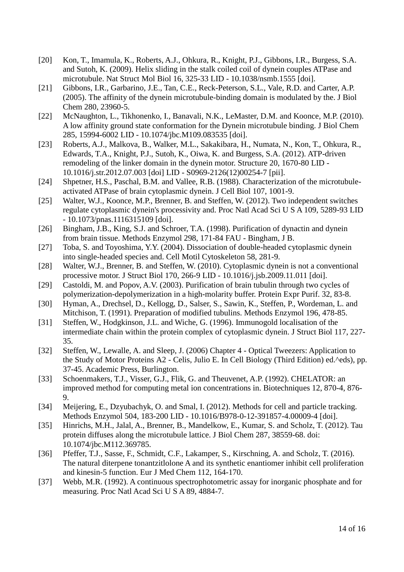- [20] Kon, T., Imamula, K., Roberts, A.J., Ohkura, R., Knight, P.J., Gibbons, I.R., Burgess, S.A. and Sutoh, K. (2009). Helix sliding in the stalk coiled coil of dynein couples ATPase and microtubule. Nat Struct Mol Biol 16, 325-33 LID - 10.1038/nsmb.1555 [doi].
- [21] Gibbons, I.R., Garbarino, J.E., Tan, C.E., Reck-Peterson, S.L., Vale, R.D. and Carter, A.P. (2005). The affinity of the dynein microtubule-binding domain is modulated by the. J Biol Chem 280, 23960-5.
- [22] McNaughton, L., Tikhonenko, I., Banavali, N.K., LeMaster, D.M. and Koonce, M.P. (2010). A low affinity ground state conformation for the Dynein microtubule binding. J Biol Chem 285, 15994-6002 LID - 10.1074/jbc.M109.083535 [doi].
- [23] Roberts, A.J., Malkova, B., Walker, M.L., Sakakibara, H., Numata, N., Kon, T., Ohkura, R., Edwards, T.A., Knight, P.J., Sutoh, K., Oiwa, K. and Burgess, S.A. (2012). ATP-driven remodeling of the linker domain in the dynein motor. Structure 20, 1670-80 LID - 10.1016/j.str.2012.07.003 [doi] LID - S0969-2126(12)00254-7 [pii].
- [24] Shpetner, H.S., Paschal, B.M. and Vallee, R.B. (1988). Characterization of the microtubuleactivated ATPase of brain cytoplasmic dynein. J Cell Biol 107, 1001-9.
- [25] Walter, W.J., Koonce, M.P., Brenner, B. and Steffen, W. (2012). Two independent switches regulate cytoplasmic dynein's processivity and. Proc Natl Acad Sci U S A 109, 5289-93 LID - 10.1073/pnas.1116315109 [doi].
- [26] Bingham, J.B., King, S.J. and Schroer, T.A. (1998). Purification of dynactin and dynein from brain tissue. Methods Enzymol 298, 171-84 FAU - Bingham, J B.
- [27] Toba, S. and Toyoshima, Y.Y. (2004). Dissociation of double-headed cytoplasmic dynein into single-headed species and. Cell Motil Cytoskeleton 58, 281-9.
- [28] Walter, W.J., Brenner, B. and Steffen, W. (2010). Cytoplasmic dynein is not a conventional processive motor. J Struct Biol 170, 266-9 LID - 10.1016/j.jsb.2009.11.011 [doi].
- [29] Castoldi, M. and Popov, A.V. (2003). Purification of brain tubulin through two cycles of polymerization-depolymerization in a high-molarity buffer. Protein Expr Purif. 32, 83-8.
- [30] Hyman, A., Drechsel, D., Kellogg, D., Salser, S., Sawin, K., Steffen, P., Wordeman, L. and Mitchison, T. (1991). Preparation of modified tubulins. Methods Enzymol 196, 478-85.
- [31] Steffen, W., Hodgkinson, J.L. and Wiche, G. (1996). Immunogold localisation of the intermediate chain within the protein complex of cytoplasmic dynein. J Struct Biol 117, 227- 35.
- [32] Steffen, W., Lewalle, A. and Sleep, J. (2006) Chapter 4 Optical Tweezers: Application to the Study of Motor Proteins A2 - Celis, Julio E. In Cell Biology (Third Edition) ed.^eds), pp. 37-45. Academic Press, Burlington.
- [33] Schoenmakers, T.J., Visser, G.J., Flik, G. and Theuvenet, A.P. (1992). CHELATOR: an improved method for computing metal ion concentrations in. Biotechniques 12, 870-4, 876- 9.
- [34] Meijering, E., Dzyubachyk, O. and Smal, I. (2012). Methods for cell and particle tracking. Methods Enzymol 504, 183-200 LID - 10.1016/B978-0-12-391857-4.00009-4 [doi].
- [35] Hinrichs, M.H., Jalal, A., Brenner, B., Mandelkow, E., Kumar, S. and Scholz, T. (2012). Tau protein diffuses along the microtubule lattice. J Biol Chem 287, 38559-68. doi: 10.1074/jbc.M112.369785.
- [36] Pfeffer, T.J., Sasse, F., Schmidt, C.F., Lakamper, S., Kirschning, A. and Scholz, T. (2016). The natural diterpene tonantzitlolone A and its synthetic enantiomer inhibit cell proliferation and kinesin-5 function. Eur J Med Chem 112, 164-170.
- [37] Webb, M.R. (1992). A continuous spectrophotometric assay for inorganic phosphate and for measuring. Proc Natl Acad Sci U S A 89, 4884-7.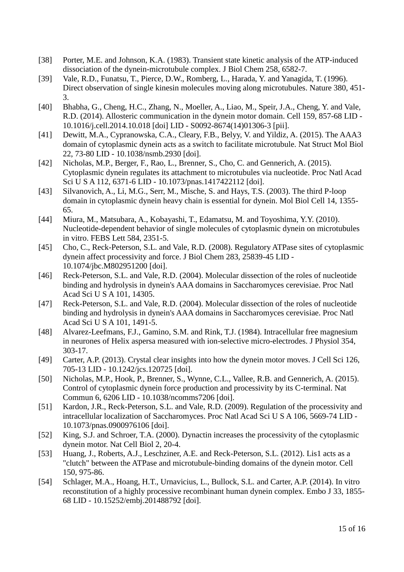- [38] Porter, M.E. and Johnson, K.A. (1983). Transient state kinetic analysis of the ATP-induced dissociation of the dynein-microtubule complex. J Biol Chem 258, 6582-7.
- [39] Vale, R.D., Funatsu, T., Pierce, D.W., Romberg, L., Harada, Y. and Yanagida, T. (1996). Direct observation of single kinesin molecules moving along microtubules. Nature 380, 451- 3.
- [40] Bhabha, G., Cheng, H.C., Zhang, N., Moeller, A., Liao, M., Speir, J.A., Cheng, Y. and Vale, R.D. (2014). Allosteric communication in the dynein motor domain. Cell 159, 857-68 LID - 10.1016/j.cell.2014.10.018 [doi] LID - S0092-8674(14)01306-3 [pii].
- [41] Dewitt, M.A., Cypranowska, C.A., Cleary, F.B., Belyy, V. and Yildiz, A. (2015). The AAA3 domain of cytoplasmic dynein acts as a switch to facilitate microtubule. Nat Struct Mol Biol 22, 73-80 LID - 10.1038/nsmb.2930 [doi].
- [42] Nicholas, M.P., Berger, F., Rao, L., Brenner, S., Cho, C. and Gennerich, A. (2015). Cytoplasmic dynein regulates its attachment to microtubules via nucleotide. Proc Natl Acad Sci U S A 112, 6371-6 LID - 10.1073/pnas.1417422112 [doi].
- [43] Silvanovich, A., Li, M.G., Serr, M., Mische, S. and Hays, T.S. (2003). The third P-loop domain in cytoplasmic dynein heavy chain is essential for dynein. Mol Biol Cell 14, 1355- 65.
- [44] Miura, M., Matsubara, A., Kobayashi, T., Edamatsu, M. and Toyoshima, Y.Y. (2010). Nucleotide-dependent behavior of single molecules of cytoplasmic dynein on microtubules in vitro. FEBS Lett 584, 2351-5.
- [45] Cho, C., Reck-Peterson, S.L. and Vale, R.D. (2008). Regulatory ATPase sites of cytoplasmic dynein affect processivity and force. J Biol Chem 283, 25839-45 LID - 10.1074/jbc.M802951200 [doi].
- [46] Reck-Peterson, S.L. and Vale, R.D. (2004). Molecular dissection of the roles of nucleotide binding and hydrolysis in dynein's AAA domains in Saccharomyces cerevisiae. Proc Natl Acad Sci U S A 101, 14305.
- [47] Reck-Peterson, S.L. and Vale, R.D. (2004). Molecular dissection of the roles of nucleotide binding and hydrolysis in dynein's AAA domains in Saccharomyces cerevisiae. Proc Natl Acad Sci U S A 101, 1491-5.
- [48] Alvarez-Leefmans, F.J., Gamino, S.M. and Rink, T.J. (1984). Intracellular free magnesium in neurones of Helix aspersa measured with ion-selective micro-electrodes. J Physiol 354, 303-17.
- [49] Carter, A.P. (2013). Crystal clear insights into how the dynein motor moves. J Cell Sci 126, 705-13 LID - 10.1242/jcs.120725 [doi].
- [50] Nicholas, M.P., Hook, P., Brenner, S., Wynne, C.L., Vallee, R.B. and Gennerich, A. (2015). Control of cytoplasmic dynein force production and processivity by its C-terminal. Nat Commun 6, 6206 LID - 10.1038/ncomms7206 [doi].
- [51] Kardon, J.R., Reck-Peterson, S.L. and Vale, R.D. (2009). Regulation of the processivity and intracellular localization of Saccharomyces. Proc Natl Acad Sci U S A 106, 5669-74 LID - 10.1073/pnas.0900976106 [doi].
- [52] King, S.J. and Schroer, T.A. (2000). Dynactin increases the processivity of the cytoplasmic dynein motor. Nat Cell Biol 2, 20-4.
- [53] Huang, J., Roberts, A.J., Leschziner, A.E. and Reck-Peterson, S.L. (2012). Lis1 acts as a "clutch" between the ATPase and microtubule-binding domains of the dynein motor. Cell 150, 975-86.
- [54] Schlager, M.A., Hoang, H.T., Urnavicius, L., Bullock, S.L. and Carter, A.P. (2014). In vitro reconstitution of a highly processive recombinant human dynein complex. Embo J 33, 1855- 68 LID - 10.15252/embj.201488792 [doi].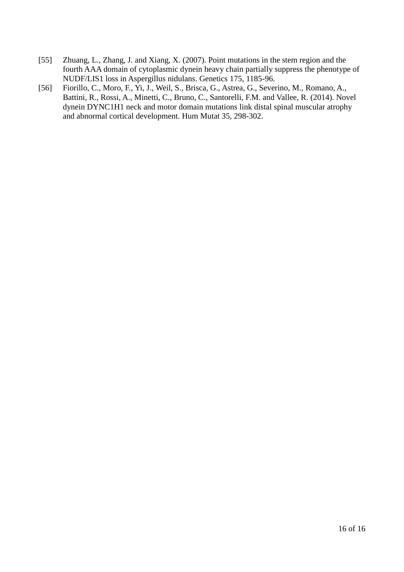- [55] Zhuang, L., Zhang, J. and Xiang, X. (2007). Point mutations in the stem region and the fourth AAA domain of cytoplasmic dynein heavy chain partially suppress the phenotype of NUDF/LIS1 loss in Aspergillus nidulans. Genetics 175, 1185-96.
- [56] Fiorillo, C., Moro, F., Yi, J., Weil, S., Brisca, G., Astrea, G., Severino, M., Romano, A., Battini, R., Rossi, A., Minetti, C., Bruno, C., Santorelli, F.M. and Vallee, R. (2014). Novel dynein DYNC1H1 neck and motor domain mutations link distal spinal muscular atrophy and abnormal cortical development. Hum Mutat 35, 298-302.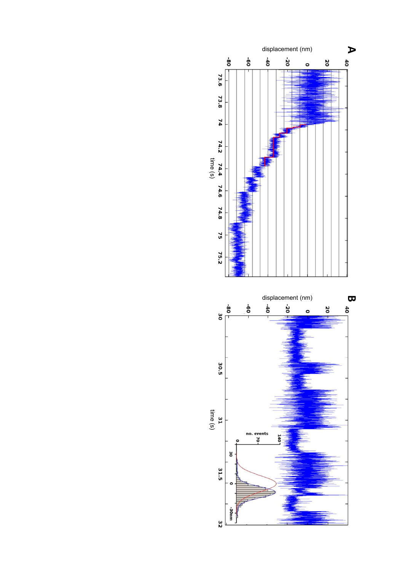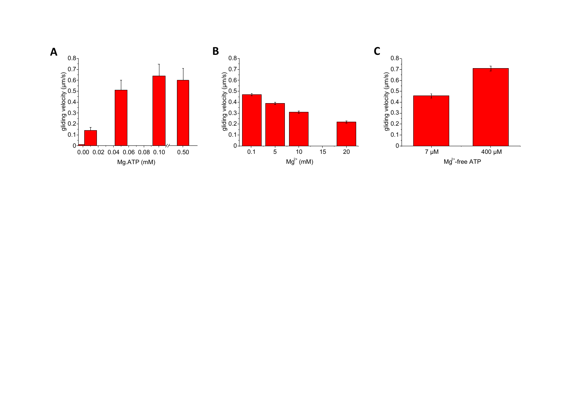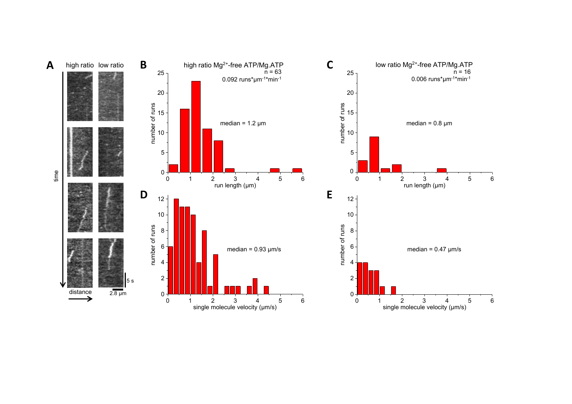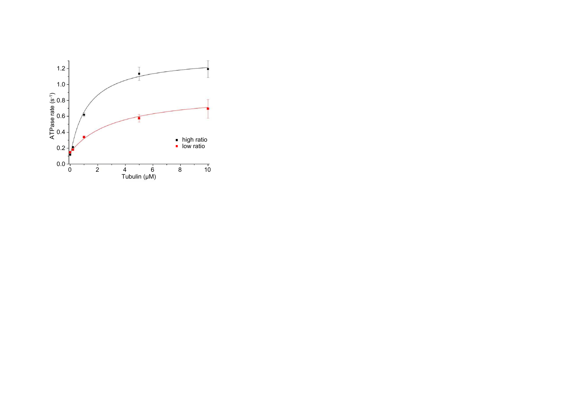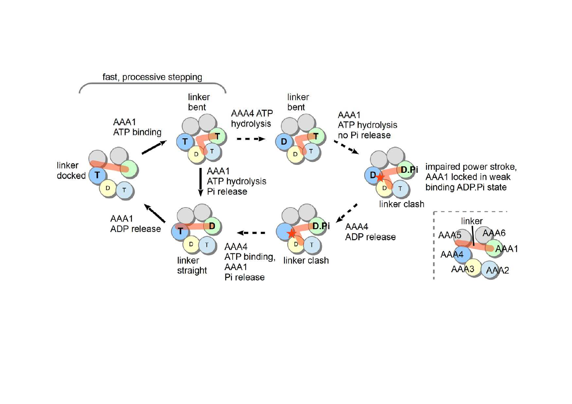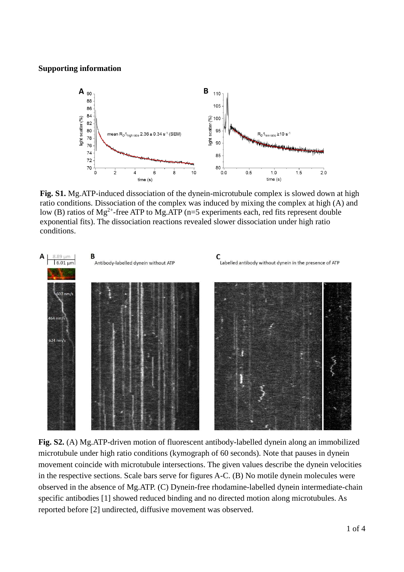#### **Supporting information**



**Fig. S1.** Mg.ATP-induced dissociation of the dynein-microtubule complex is slowed down at high ratio conditions. Dissociation of the complex was induced by mixing the complex at high (A) and low (B) ratios of  $Mg^{2+}$ -free ATP to Mg.ATP (n=5 experiments each, red fits represent double exponential fits). The dissociation reactions revealed slower dissociation under high ratio conditions.



**Fig. S2.** (A) Mg.ATP-driven motion of fluorescent antibody-labelled dynein along an immobilized microtubule under high ratio conditions (kymograph of 60 seconds). Note that pauses in dynein movement coincide with microtubule intersections. The given values describe the dynein velocities in the respective sections. Scale bars serve for figures A-C. (B) No motile dynein molecules were observed in the absence of Mg.ATP. (C) Dynein-free rhodamine-labelled dynein intermediate-chain specific antibodies [1] showed reduced binding and no directed motion along microtubules. As reported before [2] undirected, diffusive movement was observed.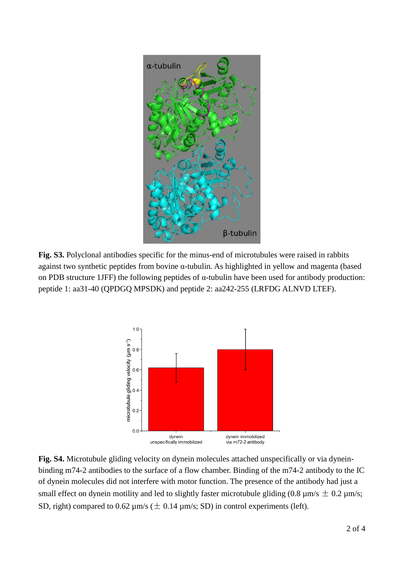

**Fig. S3.** Polyclonal antibodies specific for the minus-end of microtubules were raised in rabbits against two synthetic peptides from bovine  $\alpha$ -tubulin. As highlighted in yellow and magenta (based on PDB structure 1JFF) the following peptides of  $\alpha$ -tubulin have been used for antibody production: peptide 1: aa31-40 (QPDGQ MPSDK) and peptide 2: aa242-255 (LRFDG ALNVD LTEF).



**Fig. S4.** Microtubule gliding velocity on dynein molecules attached unspecifically or via dyneinbinding m74-2 antibodies to the surface of a flow chamber. Binding of the m74-2 antibody to the IC of dynein molecules did not interfere with motor function. The presence of the antibody had just a small effect on dynein motility and led to slightly faster microtubule gliding (0.8  $\mu$ m/s  $\pm$  0.2  $\mu$ m/s; SD, right) compared to 0.62  $\mu$ m/s ( $\pm$  0.14  $\mu$ m/s; SD) in control experiments (left).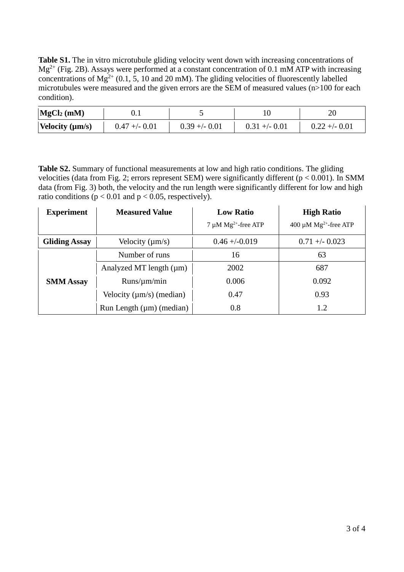**Table S1.** The in vitro microtubule gliding velocity went down with increasing concentrations of  $Mg^{2+}$  (Fig. 2B). Assays were performed at a constant concentration of 0.1 mM ATP with increasing concentrations of  $Mg^{2+}$  (0.1, 5, 10 and 20 mM). The gliding velocities of fluorescently labelled microtubules were measured and the given errors are the SEM of measured values  $(n>100$  for each condition).

| MgCl <sub>2</sub> (mM) | U.I             |                |                |                |
|------------------------|-----------------|----------------|----------------|----------------|
| Velocity $(\mu m/s)$   | $0.47 + - 0.01$ | $0.39 + -0.01$ | $0.31 + -0.01$ | $0.22 + -0.01$ |

**Table S2.** Summary of functional measurements at low and high ratio conditions. The gliding velocities (data from Fig. 2; errors represent SEM) were significantly different ( $p < 0.001$ ). In SMM data (from Fig. 3) both, the velocity and the run length were significantly different for low and high ratio conditions ( $p < 0.01$  and  $p < 0.05$ , respectively).

| <b>Experiment</b>    | <b>Measured Value</b>         | <b>Low Ratio</b>         | <b>High Ratio</b>                      |
|----------------------|-------------------------------|--------------------------|----------------------------------------|
|                      |                               | 7 µM $Mg^{2+}$ -free ATP | 400 $\mu$ M Mg <sup>2+</sup> -free ATP |
| <b>Gliding Assay</b> | Velocity $(\mu m/s)$          | $0.46 + -0.019$          | $0.71 + -0.023$                        |
|                      | Number of runs                | 16                       | 63                                     |
|                      | Analyzed MT length $(\mu m)$  | 2002                     | 687                                    |
| <b>SMM Assay</b>     | $Runs/\mu m/min$              | 0.006                    | 0.092                                  |
|                      | Velocity $(\mu m/s)$ (median) | 0.47                     | 0.93                                   |
|                      | Run Length $(\mu m)$ (median) | 0.8                      | 1.2                                    |